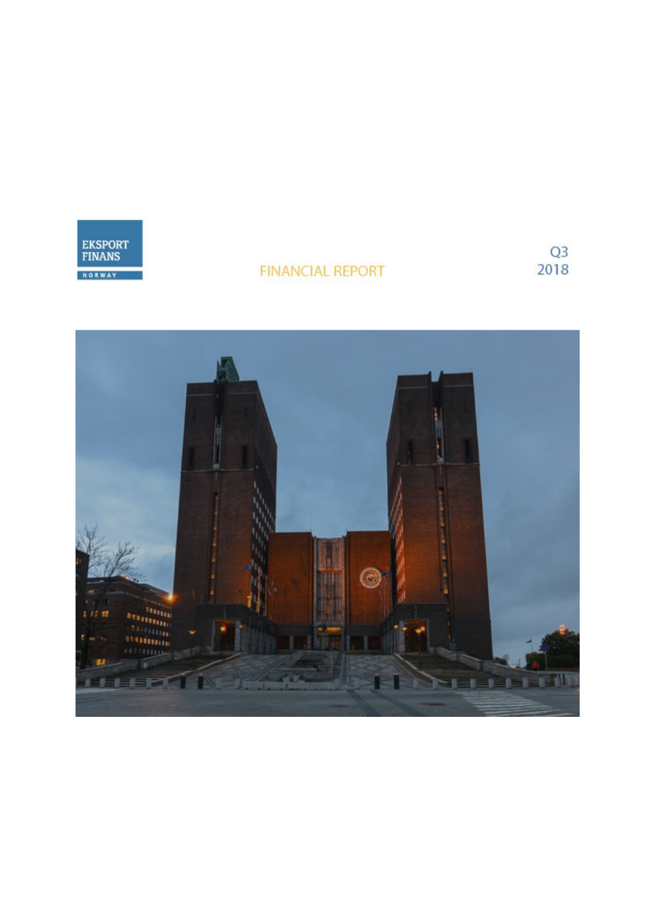

# **FINANCIAL REPORT**

 $rac{Q3}{2018}$ 

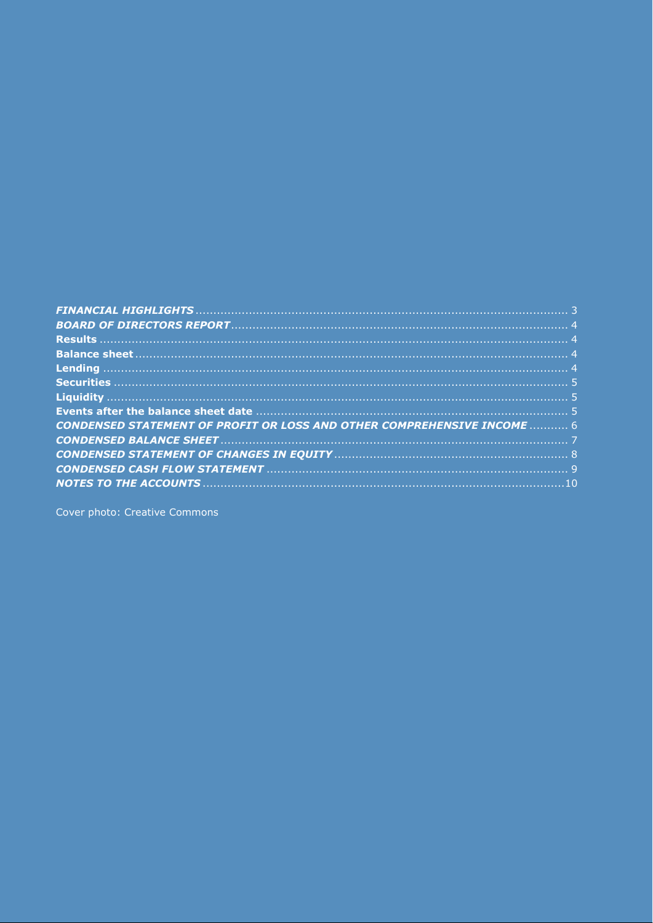| CONDENSED STATEMENT OF PROFIT OR LOSS AND OTHER COMPREHENSIVE INCOME  6 |  |
|-------------------------------------------------------------------------|--|
|                                                                         |  |
|                                                                         |  |
|                                                                         |  |
|                                                                         |  |

Cover photo: Creative Commons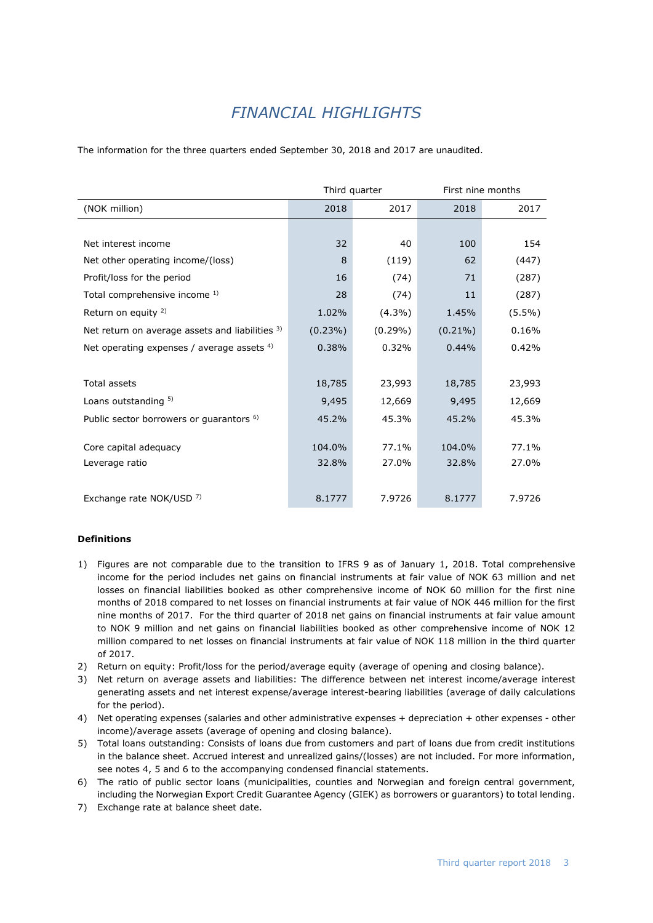# *FINANCIAL HIGHLIGHTS*

<span id="page-2-0"></span>The information for the three quarters ended September 30, 2018 and 2017 are unaudited.

|                                                     |            | Third quarter | First nine months |           |  |
|-----------------------------------------------------|------------|---------------|-------------------|-----------|--|
| (NOK million)                                       | 2018       | 2017          | 2018              | 2017      |  |
|                                                     |            |               |                   |           |  |
| Net interest income                                 | 32         | 40            | 100               | 154       |  |
| Net other operating income/(loss)                   | 8          | (119)         | 62                | (447)     |  |
| Profit/loss for the period                          | 16         | (74)          | 71                | (287)     |  |
| Total comprehensive income 1)                       | 28         | (74)          | 11                | (287)     |  |
| Return on equity <sup>2)</sup>                      | 1.02%      | $(4.3\%)$     | 1.45%             | $(5.5\%)$ |  |
| Net return on average assets and liabilities 3)     | $(0.23\%)$ | $(0.29\%)$    | $(0.21\%)$        | 0.16%     |  |
| Net operating expenses / average assets $4$ )       | 0.38%      | 0.32%         | 0.44%             | 0.42%     |  |
|                                                     |            |               |                   |           |  |
| <b>Total assets</b>                                 | 18,785     | 23,993        | 18,785            | 23,993    |  |
| Loans outstanding 5)                                | 9,495      | 12,669        | 9,495             | 12,669    |  |
| Public sector borrowers or guarantors <sup>6)</sup> | 45.2%      | 45.3%         | 45.2%             | 45.3%     |  |
|                                                     |            |               |                   |           |  |
| Core capital adequacy                               | 104.0%     | 77.1%         | 104.0%            | 77.1%     |  |
| Leverage ratio                                      | 32.8%      | 27.0%         | 32.8%             | 27.0%     |  |
|                                                     |            |               |                   |           |  |
| Exchange rate NOK/USD 7)                            | 8.1777     | 7.9726        | 8.1777            | 7.9726    |  |

### **Definitions**

- 1) Figures are not comparable due to the transition to IFRS 9 as of January 1, 2018. Total comprehensive income for the period includes net gains on financial instruments at fair value of NOK 63 million and net losses on financial liabilities booked as other comprehensive income of NOK 60 million for the first nine months of 2018 compared to net losses on financial instruments at fair value of NOK 446 million for the first nine months of 2017. For the third quarter of 2018 net gains on financial instruments at fair value amount to NOK 9 million and net gains on financial liabilities booked as other comprehensive income of NOK 12 million compared to net losses on financial instruments at fair value of NOK 118 million in the third quarter of 2017.
- 2) Return on equity: Profit/loss for the period/average equity (average of opening and closing balance).
- 3) Net return on average assets and liabilities: The difference between net interest income/average interest generating assets and net interest expense/average interest-bearing liabilities (average of daily calculations for the period).
- 4) Net operating expenses (salaries and other administrative expenses + depreciation + other expenses other income)/average assets (average of opening and closing balance).
- 5) Total loans outstanding: Consists of loans due from customers and part of loans due from credit institutions in the balance sheet. Accrued interest and unrealized gains/(losses) are not included. For more information, see notes 4, 5 and 6 to the accompanying condensed financial statements.
- 6) The ratio of public sector loans (municipalities, counties and Norwegian and foreign central government, including the Norwegian Export Credit Guarantee Agency (GIEK) as borrowers or guarantors) to total lending.
- 7) Exchange rate at balance sheet date.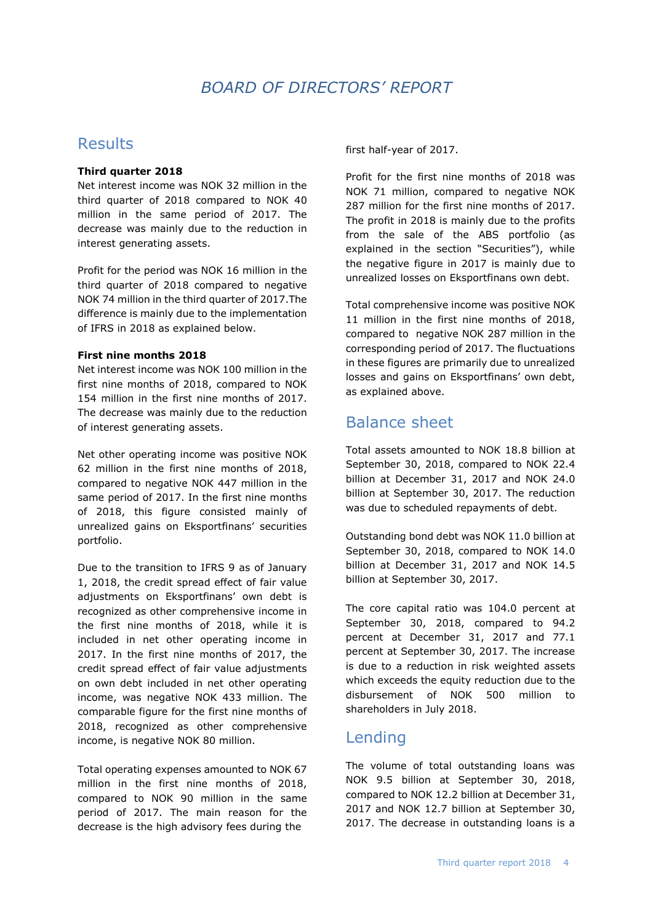## *BOARD OF DIRECTORS' REPORT*

### <span id="page-3-1"></span><span id="page-3-0"></span>Results

### **Third quarter 2018**

Net interest income was NOK 32 million in the third quarter of 2018 compared to NOK 40 million in the same period of 2017. The decrease was mainly due to the reduction in interest generating assets.

Profit for the period was NOK 16 million in the third quarter of 2018 compared to negative NOK 74 million in the third quarter of 2017.The difference is mainly due to the implementation of IFRS in 2018 as explained below.

### **First nine months 2018**

Net interest income was NOK 100 million in the first nine months of 2018, compared to NOK 154 million in the first nine months of 2017. The decrease was mainly due to the reduction of interest generating assets.

Net other operating income was positive NOK 62 million in the first nine months of 2018, compared to negative NOK 447 million in the same period of 2017. In the first nine months of 2018, this figure consisted mainly of unrealized gains on Eksportfinans' securities portfolio.

Due to the transition to IFRS 9 as of January 1, 2018, the credit spread effect of fair value adjustments on Eksportfinans' own debt is recognized as other comprehensive income in the first nine months of 2018, while it is included in net other operating income in 2017. In the first nine months of 2017, the credit spread effect of fair value adjustments on own debt included in net other operating income, was negative NOK 433 million. The comparable figure for the first nine months of 2018, recognized as other comprehensive income, is negative NOK 80 million.

Total operating expenses amounted to NOK 67 million in the first nine months of 2018, compared to NOK 90 million in the same period of 2017. The main reason for the decrease is the high advisory fees during the

first half-year of 2017.

Profit for the first nine months of 2018 was NOK 71 million, compared to negative NOK 287 million for the first nine months of 2017. The profit in 2018 is mainly due to the profits from the sale of the ABS portfolio (as explained in the section "Securities"), while the negative figure in 2017 is mainly due to unrealized losses on Eksportfinans own debt.

Total comprehensive income was positive NOK 11 million in the first nine months of 2018, compared to negative NOK 287 million in the corresponding period of 2017. The fluctuations in these figures are primarily due to unrealized losses and gains on Eksportfinans' own debt, as explained above.

## <span id="page-3-2"></span>Balance sheet

Total assets amounted to NOK 18.8 billion at September 30, 2018, compared to NOK 22.4 billion at December 31, 2017 and NOK 24.0 billion at September 30, 2017. The reduction was due to scheduled repayments of debt.

Outstanding bond debt was NOK 11.0 billion at September 30, 2018, compared to NOK 14.0 billion at December 31, 2017 and NOK 14.5 billion at September 30, 2017.

The core capital ratio was 104.0 percent at September 30, 2018, compared to 94.2 percent at December 31, 2017 and 77.1 percent at September 30, 2017. The increase is due to a reduction in risk weighted assets which exceeds the equity reduction due to the disbursement of NOK 500 million to shareholders in July 2018.

### <span id="page-3-3"></span>Lending

The volume of total outstanding loans was NOK 9.5 billion at September 30, 2018, compared to NOK 12.2 billion at December 31, 2017 and NOK 12.7 billion at September 30, 2017. The decrease in outstanding loans is a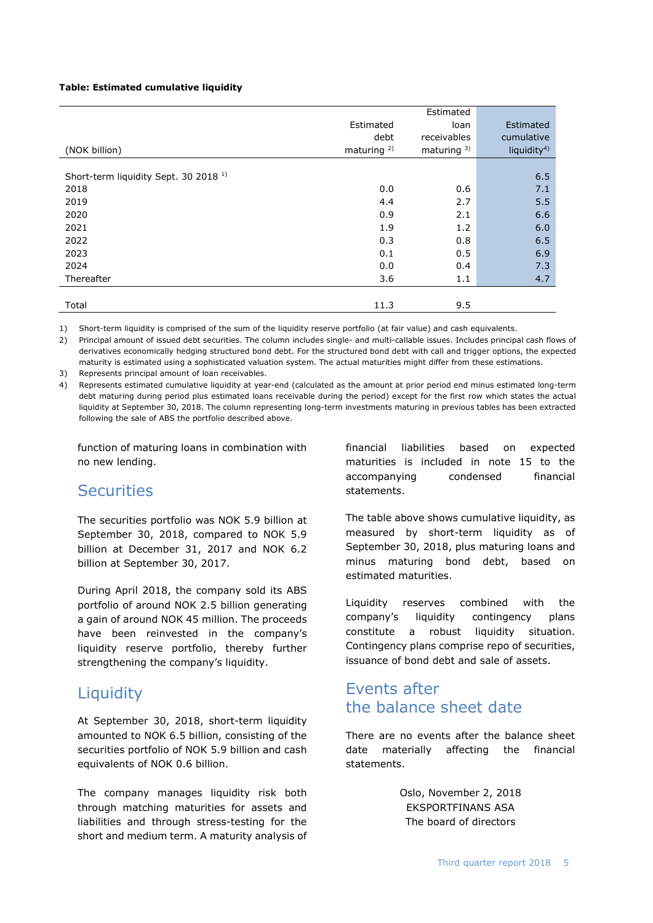#### **Table: Estimated cumulative liquidity**

|                                                  |                        | Estimated      |                         |
|--------------------------------------------------|------------------------|----------------|-------------------------|
|                                                  | Estimated              | loan           | Estimated               |
|                                                  | debt                   | receivables    | cumulative              |
| (NOK billion)                                    | maturing <sup>2)</sup> | maturing $3$ ) | liquidity <sup>4)</sup> |
|                                                  |                        |                |                         |
| Short-term liquidity Sept. 30 2018 <sup>1)</sup> |                        |                | 6.5                     |
| 2018                                             | 0.0                    | 0.6            | 7.1                     |
| 2019                                             | 4.4                    | 2.7            | 5.5                     |
| 2020                                             | 0.9                    | 2.1            | 6.6                     |
| 2021                                             | 1.9                    | 1.2            | 6.0                     |
| 2022                                             | 0.3                    | 0.8            | 6.5                     |
| 2023                                             | 0.1                    | 0.5            | 6.9                     |
| 2024                                             | 0.0                    | 0.4            | 7.3                     |
| Thereafter                                       | 3.6                    | 1.1            | 4.7                     |
|                                                  |                        |                |                         |
| Total                                            | 11.3                   | 9.5            |                         |

1) Short-term liquidity is comprised of the sum of the liquidity reserve portfolio (at fair value) and cash equivalents.

2) Principal amount of issued debt securities. The column includes single- and multi-callable issues. Includes principal cash flows of derivatives economically hedging structured bond debt. For the structured bond debt with call and trigger options, the expected maturity is estimated using a sophisticated valuation system. The actual maturities might differ from these estimations.

3) Represents principal amount of loan receivables.

4) Represents estimated cumulative liquidity at year-end (calculated as the amount at prior period end minus estimated long-term debt maturing during period plus estimated loans receivable during the period) except for the first row which states the actual liquidity at September 30, 2018. The column representing long-term investments maturing in previous tables has been extracted following the sale of ABS the portfolio described above.

function of maturing loans in combination with no new lending.

### <span id="page-4-0"></span>Securities

The securities portfolio was NOK 5.9 billion at September 30, 2018, compared to NOK 5.9 billion at December 31, 2017 and NOK 6.2 billion at September 30, 2017.

During April 2018, the company sold its ABS portfolio of around NOK 2.5 billion generating a gain of around NOK 45 million. The proceeds have been reinvested in the company's liquidity reserve portfolio, thereby further strengthening the company's liquidity.

### <span id="page-4-1"></span>**Liquidity**

At September 30, 2018, short-term liquidity amounted to NOK 6.5 billion, consisting of the securities portfolio of NOK 5.9 billion and cash equivalents of NOK 0.6 billion.

The company manages liquidity risk both through matching maturities for assets and liabilities and through stress-testing for the short and medium term. A maturity analysis of financial liabilities based on expected maturities is included in note 15 to the accompanying condensed financial statements.

The table above shows cumulative liquidity, as measured by short-term liquidity as of September 30, 2018, plus maturing loans and minus maturing bond debt, based on estimated maturities.

Liquidity reserves combined with the company's liquidity contingency plans constitute a robust liquidity situation. Contingency plans comprise repo of securities, issuance of bond debt and sale of assets.

## <span id="page-4-2"></span>Events after the balance sheet date

There are no events after the balance sheet date materially affecting the financial statements.

> Oslo, November 2, 2018 EKSPORTFINANS ASA The board of directors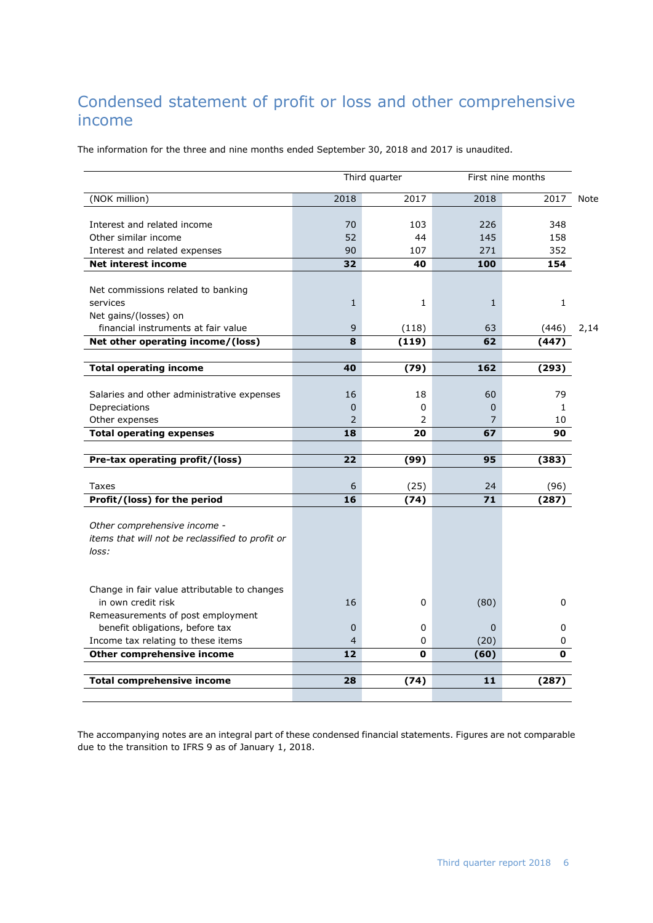# <span id="page-5-0"></span>Condensed statement of profit or loss and other comprehensive income

The information for the three and nine months ended September 30, 2018 and 2017 is unaudited.

|                                                  |      | Third quarter |              | First nine months |      |
|--------------------------------------------------|------|---------------|--------------|-------------------|------|
| (NOK million)                                    | 2018 | 2017          | 2018         | 2017              | Note |
| Interest and related income                      | 70   | 103           | 226          | 348               |      |
| Other similar income                             | 52   | 44            | 145          | 158               |      |
| Interest and related expenses                    | 90   | 107           | 271          | 352               |      |
| <b>Net interest income</b>                       | 32   | 40            | 100          | 154               |      |
|                                                  |      |               |              |                   |      |
| Net commissions related to banking               |      |               |              |                   |      |
| services                                         | 1    | 1             | $\mathbf{1}$ | $\mathbf{1}$      |      |
| Net gains/(losses) on                            |      |               |              |                   |      |
| financial instruments at fair value              | 9    | (118)         | 63           | (446)             | 2,14 |
| Net other operating income/(loss)                | 8    | (119)         | 62           | (447)             |      |
|                                                  |      |               |              |                   |      |
| <b>Total operating income</b>                    | 40   | (79)          | 162          | (293)             |      |
|                                                  |      |               |              |                   |      |
| Salaries and other administrative expenses       | 16   | 18            | 60           | 79                |      |
| Depreciations                                    | 0    | 0             | 0            | $\mathbf{1}$      |      |
| Other expenses                                   | 2    | 2             | 7            | 10                |      |
| <b>Total operating expenses</b>                  | 18   | 20            | 67           | 90                |      |
| Pre-tax operating profit/(loss)                  | 22   | (99)          | 95           | (383)             |      |
|                                                  |      |               |              |                   |      |
| Taxes                                            | 6    | (25)          | 24           | (96)              |      |
| Profit/(loss) for the period                     | 16   | (74)          | 71           | (287)             |      |
|                                                  |      |               |              |                   |      |
| Other comprehensive income -                     |      |               |              |                   |      |
| items that will not be reclassified to profit or |      |               |              |                   |      |
| loss:                                            |      |               |              |                   |      |
|                                                  |      |               |              |                   |      |
| Change in fair value attributable to changes     |      |               |              |                   |      |
| in own credit risk                               | 16   | 0             | (80)         | 0                 |      |
| Remeasurements of post employment                |      |               |              |                   |      |
| benefit obligations, before tax                  | 0    | 0             | $\mathbf{0}$ | 0                 |      |
| Income tax relating to these items               | 4    | 0             | (20)         | 0                 |      |
| Other comprehensive income                       | 12   | O             | (60)         | 0                 |      |
|                                                  |      |               |              |                   |      |
| <b>Total comprehensive income</b>                | 28   | (74)          | 11           | (287              |      |
|                                                  |      |               |              |                   |      |

The accompanying notes are an integral part of these condensed financial statements. Figures are not comparable due to the transition to IFRS 9 as of January 1, 2018.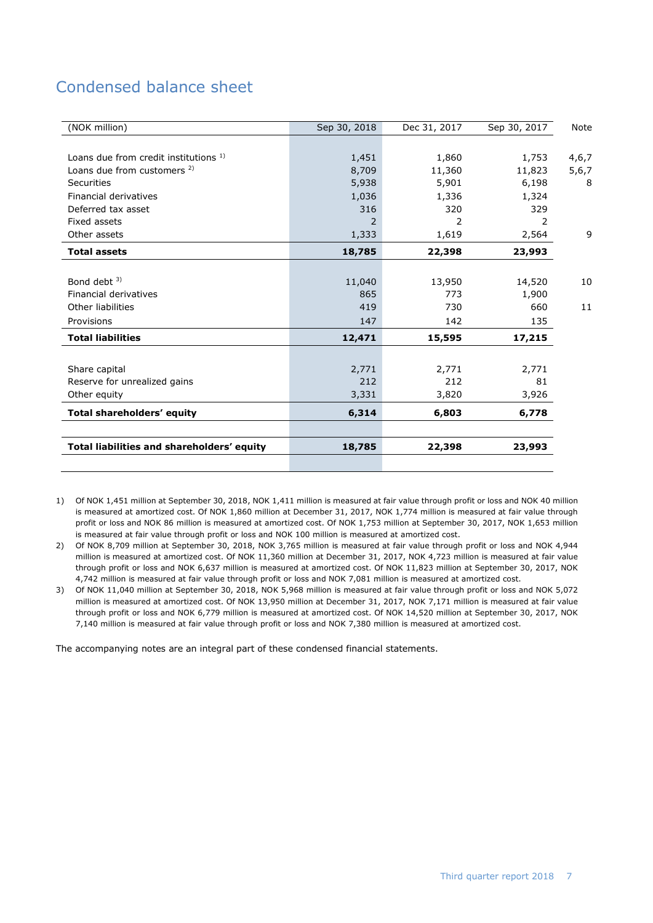# <span id="page-6-0"></span>Condensed balance sheet

| (NOK million)                              | Sep 30, 2018 | Dec 31, 2017 | Sep 30, 2017 | <b>Note</b> |
|--------------------------------------------|--------------|--------------|--------------|-------------|
|                                            |              |              |              |             |
| Loans due from credit institutions 1)      | 1,451        | 1,860        | 1,753        | 4,6,7       |
| Loans due from customers <sup>2)</sup>     | 8,709        | 11,360       | 11,823       | 5,6,7       |
| Securities                                 | 5,938        | 5,901        | 6,198        | 8           |
| Financial derivatives                      | 1,036        | 1,336        | 1,324        |             |
| Deferred tax asset                         | 316          | 320          | 329          |             |
| Fixed assets                               | 2            | 2            | 2            |             |
| Other assets                               | 1,333        | 1,619        | 2,564        | 9           |
| <b>Total assets</b>                        | 18,785       | 22,398       | 23,993       |             |
|                                            |              |              |              |             |
| Bond debt $3$ )                            | 11,040       | 13,950       | 14,520       | 10          |
| <b>Financial derivatives</b>               | 865          | 773          | 1,900        |             |
| Other liabilities                          | 419          | 730          | 660          | 11          |
| Provisions                                 | 147          | 142          | 135          |             |
| <b>Total liabilities</b>                   | 12,471       | 15,595       | 17,215       |             |
|                                            |              |              |              |             |
| Share capital                              | 2,771        | 2,771        | 2,771        |             |
| Reserve for unrealized gains               | 212          | 212          | 81           |             |
| Other equity                               | 3,331        | 3,820        | 3,926        |             |
| Total shareholders' equity                 | 6,314        | 6,803        | 6,778        |             |
|                                            |              |              |              |             |
| Total liabilities and shareholders' equity | 18,785       | 22,398       | 23,993       |             |
|                                            |              |              |              |             |

1) Of NOK 1,451 million at September 30, 2018, NOK 1,411 million is measured at fair value through profit or loss and NOK 40 million is measured at amortized cost. Of NOK 1,860 million at December 31, 2017, NOK 1,774 million is measured at fair value through profit or loss and NOK 86 million is measured at amortized cost. Of NOK 1,753 million at September 30, 2017, NOK 1,653 million is measured at fair value through profit or loss and NOK 100 million is measured at amortized cost.

2) Of NOK 8,709 million at September 30, 2018, NOK 3,765 million is measured at fair value through profit or loss and NOK 4,944 million is measured at amortized cost. Of NOK 11,360 million at December 31, 2017, NOK 4,723 million is measured at fair value through profit or loss and NOK 6,637 million is measured at amortized cost. Of NOK 11,823 million at September 30, 2017, NOK 4,742 million is measured at fair value through profit or loss and NOK 7,081 million is measured at amortized cost.

3) Of NOK 11,040 million at September 30, 2018, NOK 5,968 million is measured at fair value through profit or loss and NOK 5,072 million is measured at amortized cost. Of NOK 13,950 million at December 31, 2017, NOK 7,171 million is measured at fair value through profit or loss and NOK 6,779 million is measured at amortized cost. Of NOK 14,520 million at September 30, 2017, NOK 7,140 million is measured at fair value through profit or loss and NOK 7,380 million is measured at amortized cost.

The accompanying notes are an integral part of these condensed financial statements.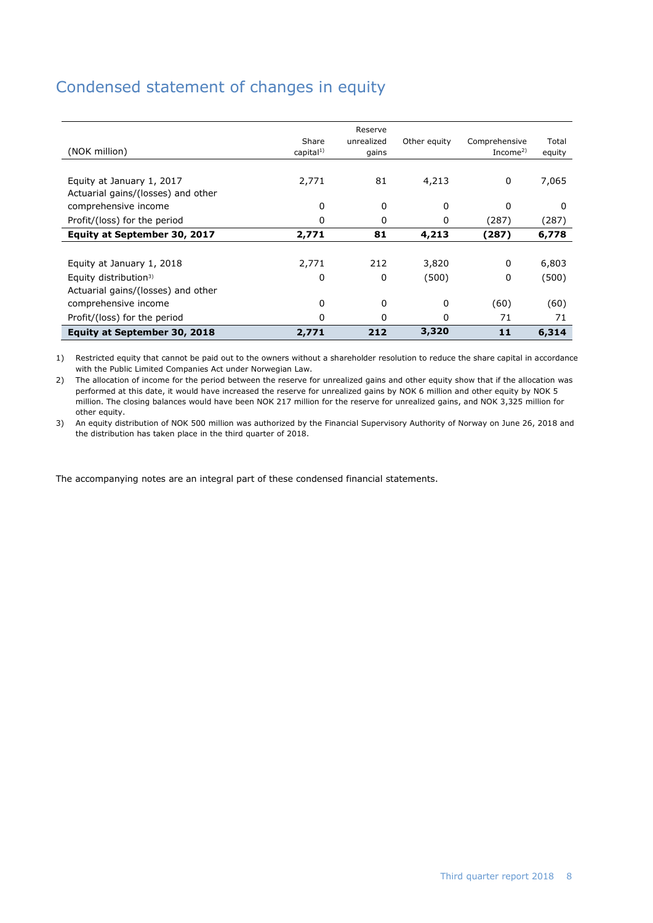# <span id="page-7-0"></span>Condensed statement of changes in equity

| (NOK million)                      | Share<br>capital <sup>1</sup> | Reserve<br>unrealized<br>gains | Other equity | Comprehensive<br>Income <sup>2)</sup> | Total<br>equity |
|------------------------------------|-------------------------------|--------------------------------|--------------|---------------------------------------|-----------------|
|                                    |                               |                                |              |                                       |                 |
| Equity at January 1, 2017          | 2,771                         | 81                             | 4,213        | 0                                     | 7,065           |
| Actuarial gains/(losses) and other |                               |                                |              |                                       |                 |
| comprehensive income               | 0                             | 0                              | 0            | 0                                     | 0               |
| Profit/(loss) for the period       | 0                             | 0                              | 0            | (287)                                 | (287)           |
| Equity at September 30, 2017       | 2,771                         | 81                             | 4,213        | (287)                                 | 6,778           |
|                                    |                               |                                |              |                                       |                 |
| Equity at January 1, 2018          | 2,771                         | 212                            | 3,820        | 0                                     | 6,803           |
| Equity distribution <sup>3)</sup>  | 0                             | 0                              | (500)        | 0                                     | (500)           |
| Actuarial gains/(losses) and other |                               |                                |              |                                       |                 |
| comprehensive income               | 0                             | 0                              | 0            | (60)                                  | (60)            |
| Profit/(loss) for the period       | 0                             | 0                              | 0            | 71                                    | 71              |
| Equity at September 30, 2018       | 2,771                         | 212                            | 3,320        | 11                                    | 6,314           |

1) Restricted equity that cannot be paid out to the owners without a shareholder resolution to reduce the share capital in accordance with the Public Limited Companies Act under Norwegian Law.

2) The allocation of income for the period between the reserve for unrealized gains and other equity show that if the allocation was performed at this date, it would have increased the reserve for unrealized gains by NOK 6 million and other equity by NOK 5 million. The closing balances would have been NOK 217 million for the reserve for unrealized gains, and NOK 3,325 million for other equity.

3) An equity distribution of NOK 500 million was authorized by the Financial Supervisory Authority of Norway on June 26, 2018 and the distribution has taken place in the third quarter of 2018.

The accompanying notes are an integral part of these condensed financial statements.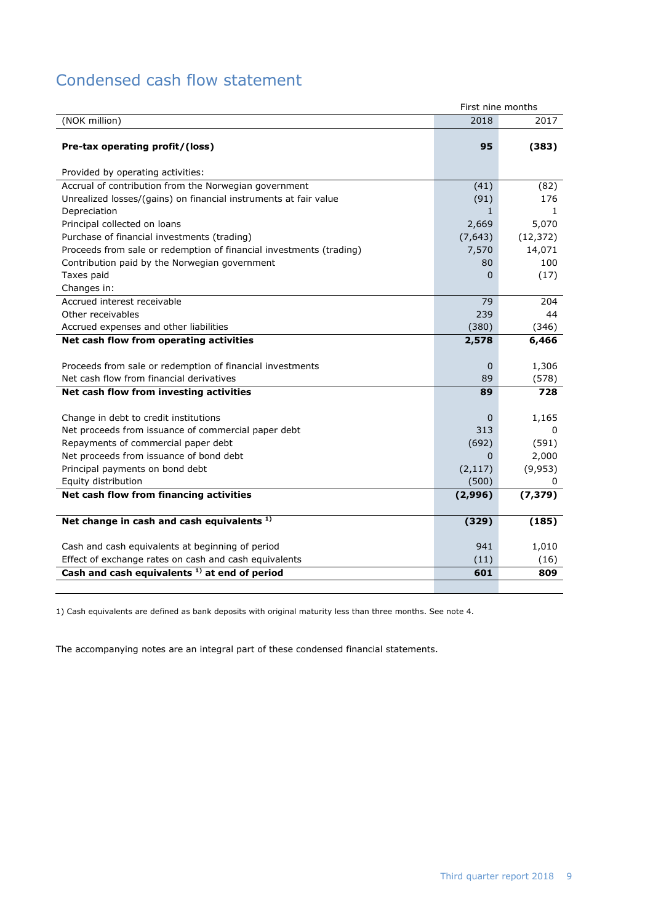# <span id="page-8-0"></span>Condensed cash flow statement

|                                                                     | First nine months |              |
|---------------------------------------------------------------------|-------------------|--------------|
| (NOK million)                                                       | 2018              | 2017         |
|                                                                     |                   |              |
| Pre-tax operating profit/(loss)                                     | 95                | (383)        |
|                                                                     |                   |              |
| Provided by operating activities:                                   |                   |              |
| Accrual of contribution from the Norwegian government               | (41)              | (82)         |
| Unrealized losses/(gains) on financial instruments at fair value    | (91)              | 176          |
| Depreciation                                                        | $\mathbf{1}$      | $\mathbf{1}$ |
| Principal collected on loans                                        | 2,669             | 5,070        |
| Purchase of financial investments (trading)                         | (7,643)           | (12, 372)    |
| Proceeds from sale or redemption of financial investments (trading) | 7,570             | 14,071       |
| Contribution paid by the Norwegian government                       | 80                | 100          |
| Taxes paid                                                          | 0                 | (17)         |
| Changes in:                                                         |                   |              |
| Accrued interest receivable                                         | 79                | 204          |
| Other receivables                                                   | 239               | 44           |
| Accrued expenses and other liabilities                              | (380)             | (346)        |
| Net cash flow from operating activities                             | 2,578             | 6,466        |
|                                                                     |                   |              |
| Proceeds from sale or redemption of financial investments           | $\mathbf 0$       | 1,306        |
| Net cash flow from financial derivatives                            | 89                | (578)        |
| Net cash flow from investing activities                             | 89                | 728          |
|                                                                     |                   |              |
| Change in debt to credit institutions                               | $\Omega$          | 1,165        |
| Net proceeds from issuance of commercial paper debt                 | 313               | 0            |
| Repayments of commercial paper debt                                 | (692)             | (591)        |
| Net proceeds from issuance of bond debt                             | $\Omega$          | 2,000        |
| Principal payments on bond debt                                     | (2, 117)          | (9,953)      |
| Equity distribution                                                 | (500)             | 0            |
| Net cash flow from financing activities                             | (2,996)           | (7, 379)     |
|                                                                     |                   |              |
| Net change in cash and cash equivalents <sup>1)</sup>               | (329)             | (185)        |
|                                                                     |                   |              |
| Cash and cash equivalents at beginning of period                    | 941               | 1,010        |
| Effect of exchange rates on cash and cash equivalents               | (11)              | (16)         |
| Cash and cash equivalents <sup>1)</sup> at end of period            | 601               | 809          |
|                                                                     |                   |              |

1) Cash equivalents are defined as bank deposits with original maturity less than three months. See note 4.

The accompanying notes are an integral part of these condensed financial statements.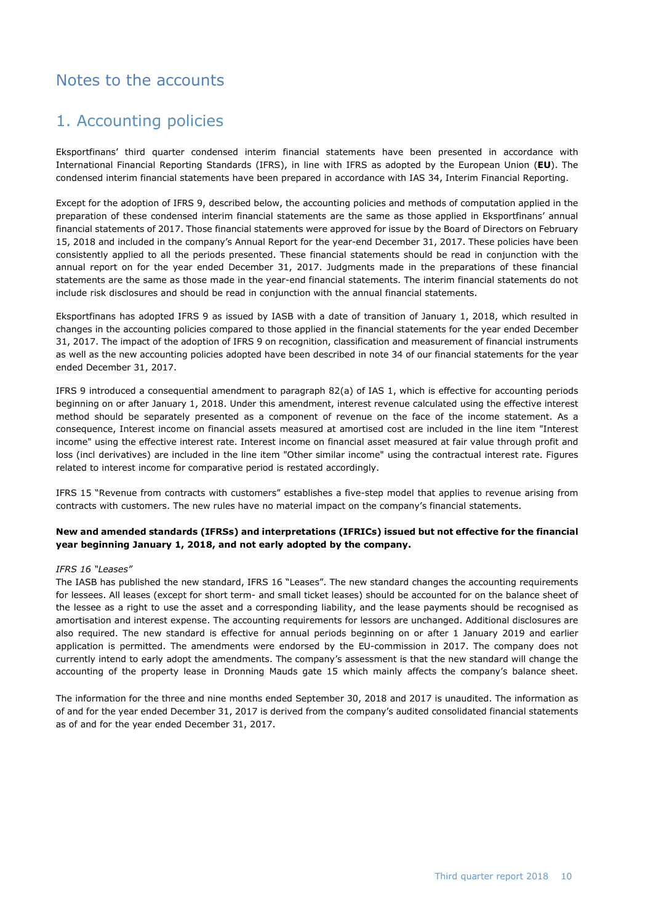## <span id="page-9-0"></span>Notes to the accounts

## 1. Accounting policies

Eksportfinans' third quarter condensed interim financial statements have been presented in accordance with International Financial Reporting Standards (IFRS), in line with IFRS as adopted by the European Union (**EU**). The condensed interim financial statements have been prepared in accordance with IAS 34, Interim Financial Reporting.

Except for the adoption of IFRS 9, described below, the accounting policies and methods of computation applied in the preparation of these condensed interim financial statements are the same as those applied in Eksportfinans' annual financial statements of 2017. Those financial statements were approved for issue by the Board of Directors on February 15, 2018 and included in the company's Annual Report for the year-end December 31, 2017. These policies have been consistently applied to all the periods presented. These financial statements should be read in conjunction with the annual report on for the year ended December 31, 2017. Judgments made in the preparations of these financial statements are the same as those made in the year-end financial statements. The interim financial statements do not include risk disclosures and should be read in conjunction with the annual financial statements.

Eksportfinans has adopted IFRS 9 as issued by IASB with a date of transition of January 1, 2018, which resulted in changes in the accounting policies compared to those applied in the financial statements for the year ended December 31, 2017. The impact of the adoption of IFRS 9 on recognition, classification and measurement of financial instruments as well as the new accounting policies adopted have been described in note 34 of our financial statements for the year ended December 31, 2017.

IFRS 9 introduced a consequential amendment to paragraph 82(a) of IAS 1, which is effective for accounting periods beginning on or after January 1, 2018. Under this amendment, interest revenue calculated using the effective interest method should be separately presented as a component of revenue on the face of the income statement. As a consequence, Interest income on financial assets measured at amortised cost are included in the line item "Interest income" using the effective interest rate. Interest income on financial asset measured at fair value through profit and loss (incl derivatives) are included in the line item "Other similar income" using the contractual interest rate. Figures related to interest income for comparative period is restated accordingly.

IFRS 15 "Revenue from contracts with customers" establishes a five-step model that applies to revenue arising from contracts with customers. The new rules have no material impact on the company's financial statements.

### **New and amended standards (IFRSs) and interpretations (IFRICs) issued but not effective for the financial year beginning January 1, 2018, and not early adopted by the company.**

### *IFRS 16 "Leases"*

The IASB has published the new standard, IFRS 16 "Leases". The new standard changes the accounting requirements for lessees. All leases (except for short term- and small ticket leases) should be accounted for on the balance sheet of the lessee as a right to use the asset and a corresponding liability, and the lease payments should be recognised as amortisation and interest expense. The accounting requirements for lessors are unchanged. Additional disclosures are also required. The new standard is effective for annual periods beginning on or after 1 January 2019 and earlier application is permitted. The amendments were endorsed by the EU-commission in 2017. The company does not currently intend to early adopt the amendments. The company's assessment is that the new standard will change the accounting of the property lease in Dronning Mauds gate 15 which mainly affects the company's balance sheet.

The information for the three and nine months ended September 30, 2018 and 2017 is unaudited. The information as of and for the year ended December 31, 2017 is derived from the company's audited consolidated financial statements as of and for the year ended December 31, 2017.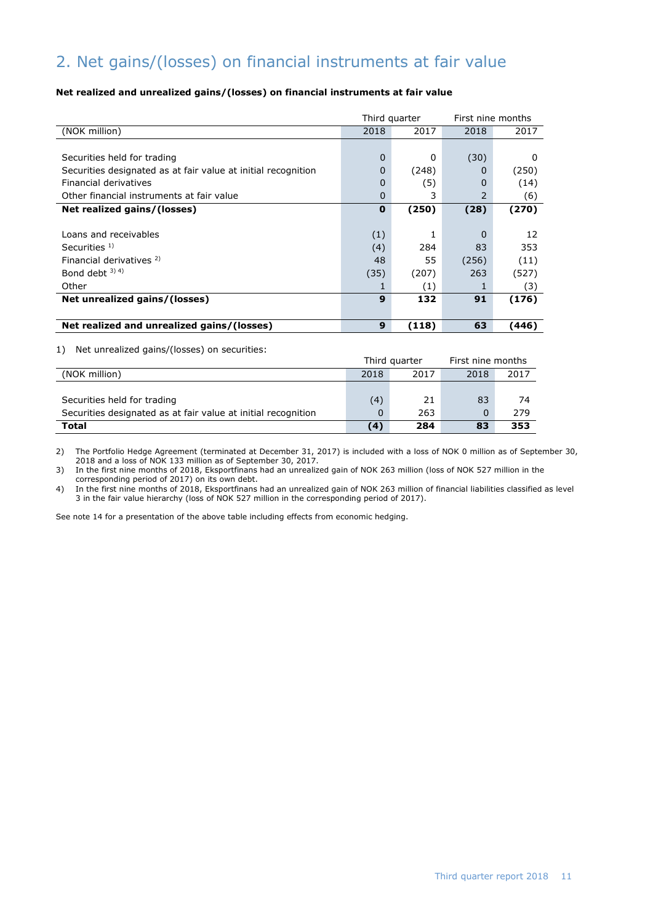# 2. Net gains/(losses) on financial instruments at fair value

### **Net realized and unrealized gains/(losses) on financial instruments at fair value**

|                                                               | Third quarter |       | First nine months |       |  |
|---------------------------------------------------------------|---------------|-------|-------------------|-------|--|
| (NOK million)                                                 | 2018          | 2017  | 2018              | 2017  |  |
|                                                               |               |       |                   |       |  |
| Securities held for trading                                   | 0             | 0     | (30)              | O     |  |
| Securities designated as at fair value at initial recognition | 0             | (248) | $\Omega$          | (250) |  |
| Financial derivatives                                         | 0             | (5)   | O                 | (14)  |  |
| Other financial instruments at fair value                     | 0             | 3     | 2                 | (6)   |  |
| Net realized gains/(losses)                                   | $\bf{0}$      | (250) | (28)              | (270) |  |
|                                                               |               |       |                   |       |  |
| Loans and receivables                                         | (1)           |       | 0                 | 12    |  |
| Securities $1$ )                                              | (4)           | 284   | 83                | 353   |  |
| Financial derivatives <sup>2)</sup>                           | 48            | 55    | (256)             | (11)  |  |
| Bond debt $3)$ 4)                                             | (35)          | (207) | 263               | (527) |  |
| Other                                                         |               | (1)   |                   | (3)   |  |
| Net unrealized gains/(losses)                                 | 9             | 132   | 91                | (176) |  |
|                                                               |               |       |                   |       |  |
| Net realized and unrealized gains/(losses)                    | 9             | (118) | 63                | (446) |  |
|                                                               |               |       |                   |       |  |

1) Net unrealized gains/(losses) on securities:

|                                                               | Third quarter |      | First nine months |      |
|---------------------------------------------------------------|---------------|------|-------------------|------|
| (NOK million)                                                 | 2018          | 2017 | 2018              | 2017 |
|                                                               |               |      |                   |      |
| Securities held for trading                                   | (4)           | 21   | 83                | 74   |
| Securities designated as at fair value at initial recognition | 0             | 263  |                   | 279  |
| <b>Total</b>                                                  | (4)           | 284  | 83                | 353  |

2) The Portfolio Hedge Agreement (terminated at December 31, 2017) is included with a loss of NOK 0 million as of September 30, 2018 and a loss of NOK 133 million as of September 30, 2017.

3) In the first nine months of 2018, Eksportfinans had an unrealized gain of NOK 263 million (loss of NOK 527 million in the corresponding period of 2017) on its own debt.

4) In the first nine months of 2018, Eksportfinans had an unrealized gain of NOK 263 million of financial liabilities classified as level 3 in the fair value hierarchy (loss of NOK 527 million in the corresponding period of 2017).

See note 14 for a presentation of the above table including effects from economic hedging.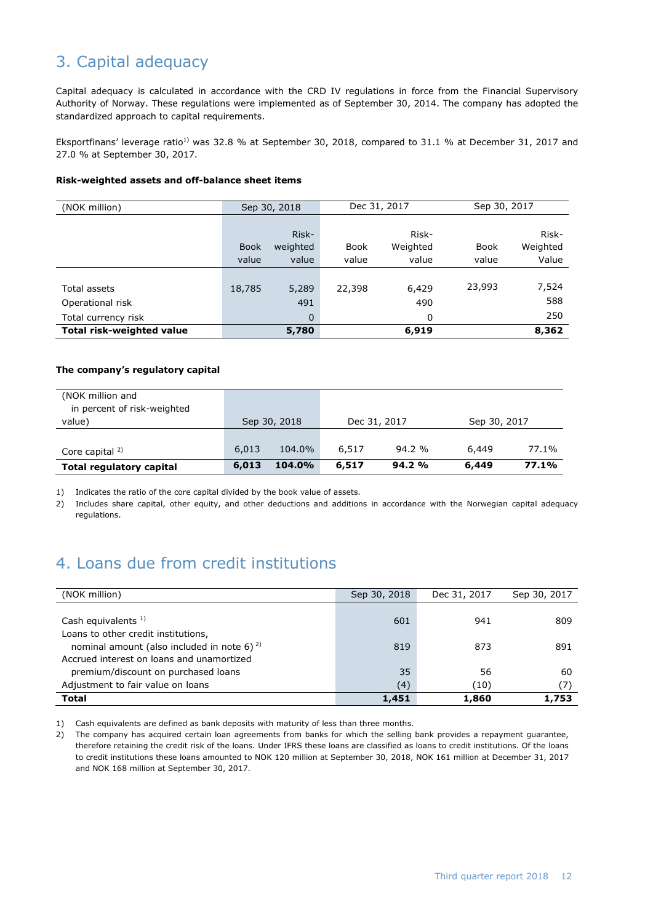# 3. Capital adequacy

Capital adequacy is calculated in accordance with the CRD IV regulations in force from the Financial Supervisory Authority of Norway. These regulations were implemented as of September 30, 2014. The company has adopted the standardized approach to capital requirements.

Eksportfinans' leverage ratio<sup>1)</sup> was 32.8 % at September 30, 2018, compared to 31.1 % at December 31, 2017 and 27.0 % at September 30, 2017.

#### **Risk-weighted assets and off-balance sheet items**

| (NOK million)                    | Sep 30, 2018 |          | Dec 31, 2017 |          | Sep 30, 2017 |          |
|----------------------------------|--------------|----------|--------------|----------|--------------|----------|
|                                  |              |          |              |          |              |          |
|                                  |              | Risk-    |              | Risk-    |              | Risk-    |
|                                  | <b>Book</b>  | weighted | <b>Book</b>  | Weighted | Book         | Weighted |
|                                  | value        | value    | value        | value    | value        | Value    |
|                                  |              |          |              |          |              |          |
| Total assets                     | 18,785       | 5,289    | 22,398       | 6,429    | 23,993       | 7,524    |
| Operational risk                 |              | 491      |              | 490      |              | 588      |
| Total currency risk              |              | 0        |              | 0        |              | 250      |
| <b>Total risk-weighted value</b> |              | 5,780    |              | 6,919    |              | 8,362    |

### **The company's regulatory capital**

| (NOK million and<br>in percent of risk-weighted |       |              |              |        |              |       |
|-------------------------------------------------|-------|--------------|--------------|--------|--------------|-------|
| value)                                          |       | Sep 30, 2018 | Dec 31, 2017 |        | Sep 30, 2017 |       |
|                                                 |       |              |              |        |              |       |
| Core capital $2$                                | 6,013 | 104.0%       | 6,517        | 94.2%  | 6,449        | 77.1% |
| <b>Total regulatory capital</b>                 | 6,013 | 104.0%       | 6,517        | 94.2 % | 6,449        | 77.1% |

1) Indicates the ratio of the core capital divided by the book value of assets.

2) Includes share capital, other equity, and other deductions and additions in accordance with the Norwegian capital adequacy regulations.

## 4. Loans due from credit institutions

| (NOK million)                                     | Sep 30, 2018 | Dec 31, 2017 | Sep 30, 2017 |
|---------------------------------------------------|--------------|--------------|--------------|
|                                                   |              |              |              |
| Cash equivalents $1$ )                            | 601          | 941          | 809          |
| Loans to other credit institutions,               |              |              |              |
| nominal amount (also included in note 6) $^{2}$ ) | 819          | 873          | 891          |
| Accrued interest on loans and unamortized         |              |              |              |
| premium/discount on purchased loans               | 35           | 56           | 60           |
| Adjustment to fair value on loans                 | (4)          | (10)         | (7)          |
| <b>Total</b>                                      | 1,451        | 1,860        | 1,753        |

1) Cash equivalents are defined as bank deposits with maturity of less than three months.

2) The company has acquired certain loan agreements from banks for which the selling bank provides a repayment guarantee, therefore retaining the credit risk of the loans. Under IFRS these loans are classified as loans to credit institutions. Of the loans to credit institutions these loans amounted to NOK 120 million at September 30, 2018, NOK 161 million at December 31, 2017 and NOK 168 million at September 30, 2017.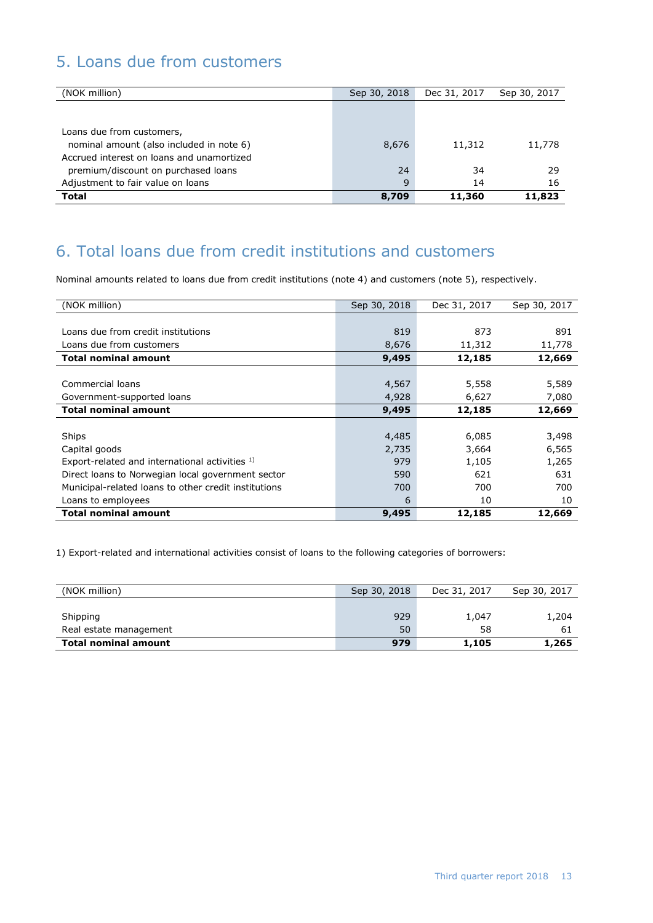# 5. Loans due from customers

| (NOK million)                             | Sep 30, 2018 | Dec 31, 2017 | Sep 30, 2017 |
|-------------------------------------------|--------------|--------------|--------------|
|                                           |              |              |              |
|                                           |              |              |              |
| Loans due from customers,                 |              |              |              |
| nominal amount (also included in note 6)  | 8,676        | 11,312       | 11,778       |
| Accrued interest on loans and unamortized |              |              |              |
| premium/discount on purchased loans       | 24           | 34           | 29           |
| Adjustment to fair value on loans         | 9            | 14           | 16           |
| <b>Total</b>                              | 8,709        | 11,360       | 11,823       |

# 6. Total loans due from credit institutions and customers

Nominal amounts related to loans due from credit institutions (note 4) and customers (note 5), respectively.

| (NOK million)                                        | Sep 30, 2018 | Dec 31, 2017 | Sep 30, 2017 |
|------------------------------------------------------|--------------|--------------|--------------|
|                                                      |              |              |              |
| Loans due from credit institutions                   | 819          | 873          | 891          |
| Loans due from customers                             | 8,676        | 11,312       | 11,778       |
| <b>Total nominal amount</b>                          | 9,495        | 12,185       | 12,669       |
|                                                      |              |              |              |
| Commercial loans                                     | 4,567        | 5,558        | 5,589        |
| Government-supported loans                           | 4,928        | 6,627        | 7,080        |
| <b>Total nominal amount</b>                          | 9,495        | 12,185       | 12,669       |
|                                                      |              |              |              |
| Ships                                                | 4,485        | 6,085        | 3,498        |
| Capital goods                                        | 2,735        | 3,664        | 6,565        |
| Export-related and international activities 1)       | 979          | 1,105        | 1,265        |
| Direct loans to Norwegian local government sector    | 590          | 621          | 631          |
| Municipal-related loans to other credit institutions | 700          | 700          | 700          |
| Loans to employees                                   | 6            | 10           | 10           |
| <b>Total nominal amount</b>                          | 9,495        | 12,185       | 12,669       |

1) Export-related and international activities consist of loans to the following categories of borrowers:

| (NOK million)               | Sep 30, 2018 | Dec 31, 2017 | Sep 30, 2017 |
|-----------------------------|--------------|--------------|--------------|
|                             |              |              |              |
| Shipping                    | 929          | 1,047        | 1,204        |
| Real estate management      | 50           | 58           | 61           |
| <b>Total nominal amount</b> | 979          | 1,105        | 1,265        |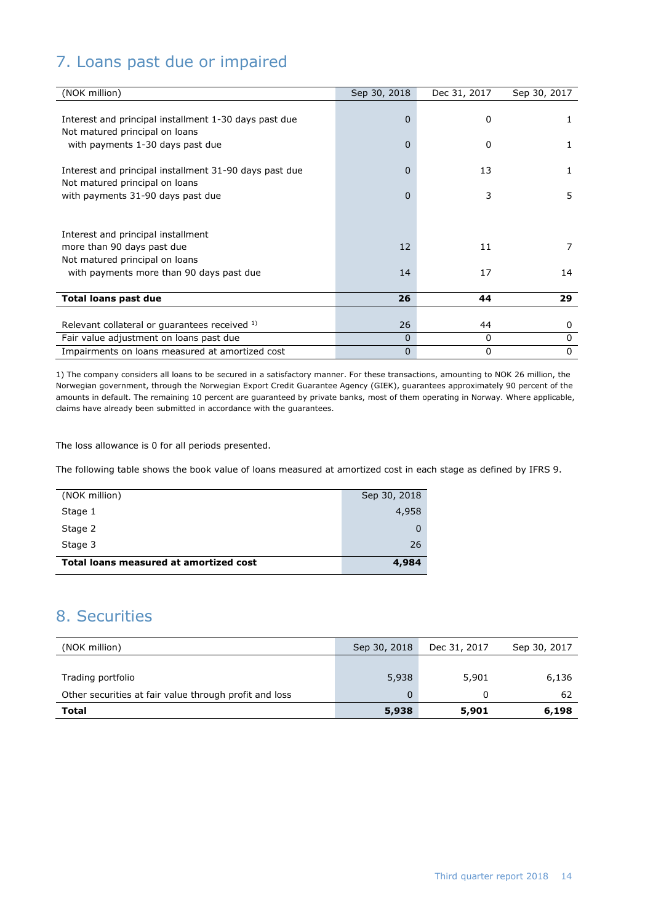# 7. Loans past due or impaired

| (NOK million)                                          | Sep 30, 2018   | Dec 31, 2017 | Sep 30, 2017 |
|--------------------------------------------------------|----------------|--------------|--------------|
|                                                        |                |              |              |
| Interest and principal installment 1-30 days past due  | $\overline{0}$ | $\Omega$     | 1.           |
| Not matured principal on loans                         |                |              |              |
| with payments 1-30 days past due                       | $\Omega$       | $\Omega$     | 1            |
|                                                        |                |              |              |
| Interest and principal installment 31-90 days past due | $\Omega$       | 13           | 1            |
| Not matured principal on loans                         |                |              |              |
| with payments 31-90 days past due                      | $\Omega$       | 3            | 5            |
|                                                        |                |              |              |
| Interest and principal installment                     |                |              |              |
| more than 90 days past due                             | 12             | 11           | 7            |
| Not matured principal on loans                         |                |              |              |
| with payments more than 90 days past due               | 14             | 17           | 14           |
|                                                        |                |              |              |
| <b>Total loans past due</b>                            | 26             | 44           | 29           |
|                                                        |                |              |              |
| Relevant collateral or guarantees received 1)          | 26             | 44           | $\mathbf{0}$ |
| Fair value adjustment on loans past due                | $\Omega$       | 0            | 0            |
| Impairments on loans measured at amortized cost        | $\mathbf 0$    | 0            | 0            |

1) The company considers all loans to be secured in a satisfactory manner. For these transactions, amounting to NOK 26 million, the Norwegian government, through the Norwegian Export Credit Guarantee Agency (GIEK), guarantees approximately 90 percent of the amounts in default. The remaining 10 percent are guaranteed by private banks, most of them operating in Norway. Where applicable, claims have already been submitted in accordance with the guarantees.

The loss allowance is 0 for all periods presented.

The following table shows the book value of loans measured at amortized cost in each stage as defined by IFRS 9.

| Total loans measured at amortized cost | 4,984        |
|----------------------------------------|--------------|
| Stage 3                                | 26           |
| Stage 2                                | 0            |
| Stage 1                                | 4,958        |
| (NOK million)                          | Sep 30, 2018 |

# 8. Securities

| (NOK million)                                          | Sep 30, 2018 | Dec 31, 2017 | Sep 30, 2017 |
|--------------------------------------------------------|--------------|--------------|--------------|
|                                                        |              |              |              |
| Trading portfolio                                      | 5,938        | 5,901        | 6,136        |
| Other securities at fair value through profit and loss | 0            | $^{(1)}$     | 62           |
| Total                                                  | 5,938        | 5,901        | 6,198        |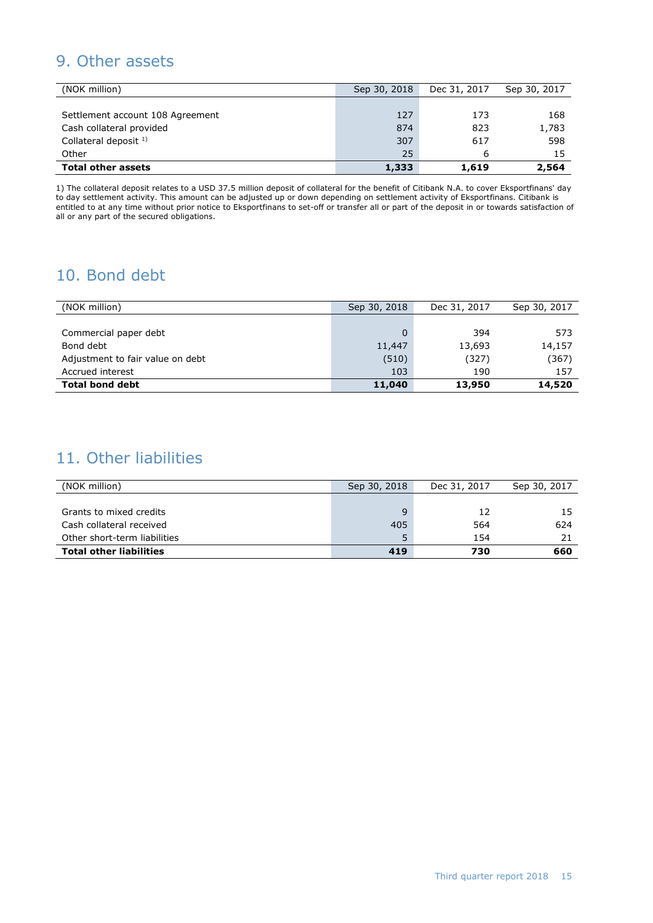# 9. Other assets

| (NOK million)                    | Sep 30, 2018 | Dec 31, 2017 | Sep 30, 2017 |
|----------------------------------|--------------|--------------|--------------|
|                                  |              |              |              |
| Settlement account 108 Agreement | 127          | 173          | 168          |
| Cash collateral provided         | 874          | 823          | 1,783        |
| Collateral deposit $1$ )         | 307          | 617          | 598          |
| Other                            | 25           | 6            | 15           |
| <b>Total other assets</b>        | 1,333        | 1,619        | 2,564        |

1) The collateral deposit relates to a USD 37.5 million deposit of collateral for the benefit of Citibank N.A. to cover Eksportfinans' day to day settlement activity. This amount can be adjusted up or down depending on settlement activity of Eksportfinans. Citibank is entitled to at any time without prior notice to Eksportfinans to set-off or transfer all or part of the deposit in or towards satisfaction of all or any part of the secured obligations.

# 10. Bond debt

| (NOK million)                    | Sep 30, 2018 | Dec 31, 2017 | Sep 30, 2017 |
|----------------------------------|--------------|--------------|--------------|
|                                  |              |              |              |
| Commercial paper debt            |              | 394          | 573          |
| Bond debt                        | 11,447       | 13,693       | 14,157       |
| Adjustment to fair value on debt | (510)        | (327)        | (367)        |
| Accrued interest                 | 103          | 190          | 157          |
| <b>Total bond debt</b>           | 11,040       | 13,950       | 14,520       |

## 11. Other liabilities

| (NOK million)                  | Sep 30, 2018 | Dec 31, 2017 | Sep 30, 2017 |
|--------------------------------|--------------|--------------|--------------|
|                                |              |              |              |
| Grants to mixed credits        | a            | 12           |              |
| Cash collateral received       | 405          | 564          | 624          |
| Other short-term liabilities   | 5            | 154          |              |
| <b>Total other liabilities</b> | 419          | 730          | 660          |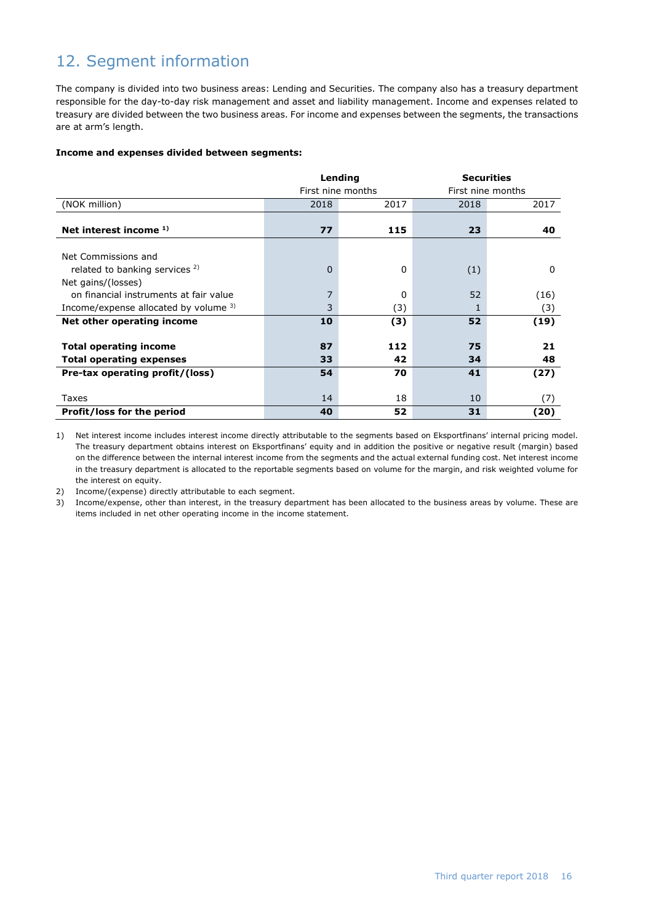# 12. Segment information

The company is divided into two business areas: Lending and Securities. The company also has a treasury department responsible for the day-to-day risk management and asset and liability management. Income and expenses related to treasury are divided between the two business areas. For income and expenses between the segments, the transactions are at arm's length.

### **Income and expenses divided between segments:**

|                                          |                   | Lending | <b>Securities</b> |                   |  |
|------------------------------------------|-------------------|---------|-------------------|-------------------|--|
|                                          | First nine months |         |                   | First nine months |  |
| (NOK million)                            | 2018              | 2017    | 2018              | 2017              |  |
|                                          |                   |         |                   |                   |  |
| Net interest income $1$ )                | 77                | 115     | 23                | 40                |  |
|                                          |                   |         |                   |                   |  |
| Net Commissions and                      |                   |         |                   |                   |  |
| related to banking services 2)           | $\Omega$          | 0       | (1)               | $\Omega$          |  |
| Net gains/(losses)                       |                   |         |                   |                   |  |
| on financial instruments at fair value   | 7                 | 0       | 52                | (16)              |  |
| Income/expense allocated by volume $3$ ) | 3                 | (3)     | 1                 | (3)               |  |
| Net other operating income               | 10                | (3)     | 52                | (19)              |  |
|                                          |                   |         |                   |                   |  |
| <b>Total operating income</b>            | 87                | 112     | 75                | 21                |  |
| <b>Total operating expenses</b>          | 33                | 42      | 34                | 48                |  |
| Pre-tax operating profit/(loss)          | 54                | 70      | 41                | (27)              |  |
|                                          |                   |         |                   |                   |  |
| Taxes                                    | 14                | 18      | 10                | (7)               |  |
| Profit/loss for the period               | 40                | 52      | 31                | (20)              |  |

1) Net interest income includes interest income directly attributable to the segments based on Eksportfinans' internal pricing model. The treasury department obtains interest on Eksportfinans' equity and in addition the positive or negative result (margin) based on the difference between the internal interest income from the segments and the actual external funding cost. Net interest income in the treasury department is allocated to the reportable segments based on volume for the margin, and risk weighted volume for the interest on equity.

2) Income/(expense) directly attributable to each segment.

3) Income/expense, other than interest, in the treasury department has been allocated to the business areas by volume. These are items included in net other operating income in the income statement.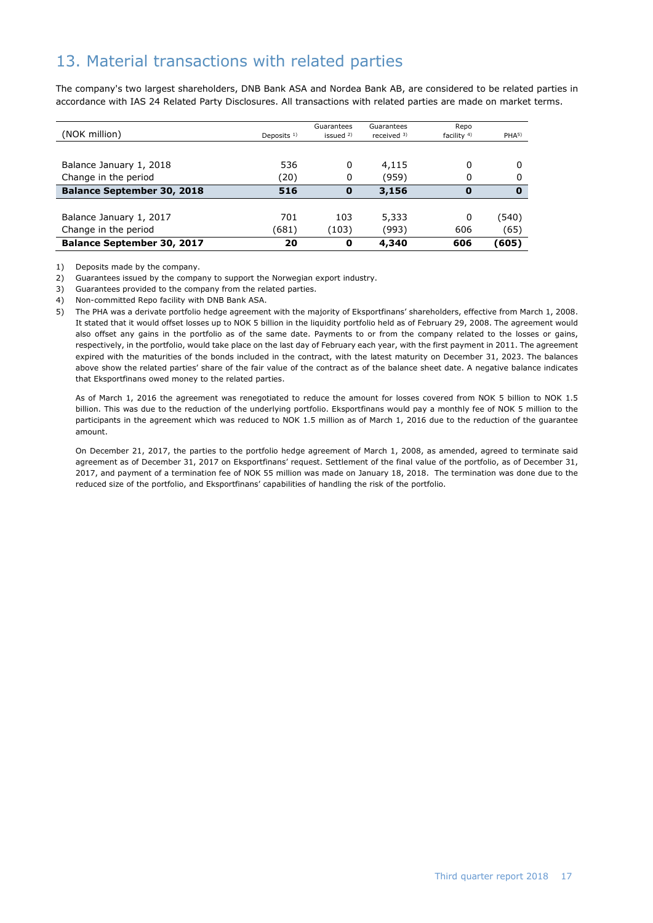# 13. Material transactions with related parties

The company's two largest shareholders, DNB Bank ASA and Nordea Bank AB, are considered to be related parties in accordance with IAS 24 Related Party Disclosures. All transactions with related parties are made on market terms.

| (NOK million)                     | Deposits $1$ ) | Guarantees<br>issued $2$ ) | Guarantees<br>received $3)$ | Repo<br>facility $4$ ) | PHA <sup>5</sup> |
|-----------------------------------|----------------|----------------------------|-----------------------------|------------------------|------------------|
|                                   |                |                            |                             |                        |                  |
| Balance January 1, 2018           | 536            | 0                          | 4,115                       | 0                      |                  |
| Change in the period              | (20)           | 0                          | (959)                       | 0                      |                  |
| <b>Balance September 30, 2018</b> | 516            | 0                          | 3,156                       | 0                      | 0                |
|                                   |                |                            |                             |                        |                  |
| Balance January 1, 2017           | 701            | 103                        | 5,333                       | 0                      | (540)            |
| Change in the period              | (681)          | (103)                      | (993)                       | 606                    | (65)             |
| <b>Balance September 30, 2017</b> | 20             | 0                          | 4,340                       | 606                    | (605)            |

1) Deposits made by the company.

2) Guarantees issued by the company to support the Norwegian export industry.

3) Guarantees provided to the company from the related parties.

4) Non-committed Repo facility with DNB Bank ASA.

5) The PHA was a derivate portfolio hedge agreement with the majority of Eksportfinans' shareholders, effective from March 1, 2008. It stated that it would offset losses up to NOK 5 billion in the liquidity portfolio held as of February 29, 2008. The agreement would also offset any gains in the portfolio as of the same date. Payments to or from the company related to the losses or gains, respectively, in the portfolio, would take place on the last day of February each year, with the first payment in 2011. The agreement expired with the maturities of the bonds included in the contract, with the latest maturity on December 31, 2023. The balances above show the related parties' share of the fair value of the contract as of the balance sheet date. A negative balance indicates that Eksportfinans owed money to the related parties.

As of March 1, 2016 the agreement was renegotiated to reduce the amount for losses covered from NOK 5 billion to NOK 1.5 billion. This was due to the reduction of the underlying portfolio. Eksportfinans would pay a monthly fee of NOK 5 million to the participants in the agreement which was reduced to NOK 1.5 million as of March 1, 2016 due to the reduction of the guarantee amount.

On December 21, 2017, the parties to the portfolio hedge agreement of March 1, 2008, as amended, agreed to terminate said agreement as of December 31, 2017 on Eksportfinans' request. Settlement of the final value of the portfolio, as of December 31, 2017, and payment of a termination fee of NOK 55 million was made on January 18, 2018. The termination was done due to the reduced size of the portfolio, and Eksportfinans' capabilities of handling the risk of the portfolio.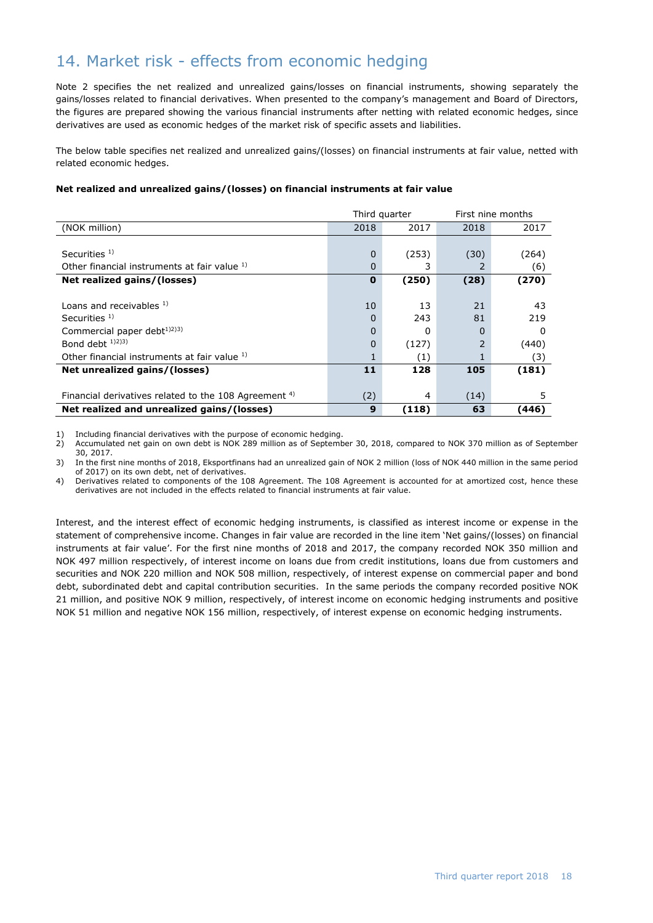# 14. Market risk - effects from economic hedging

Note 2 specifies the net realized and unrealized gains/losses on financial instruments, showing separately the gains/losses related to financial derivatives. When presented to the company's management and Board of Directors, the figures are prepared showing the various financial instruments after netting with related economic hedges, since derivatives are used as economic hedges of the market risk of specific assets and liabilities.

The below table specifies net realized and unrealized gains/(losses) on financial instruments at fair value, netted with related economic hedges.

### **Net realized and unrealized gains/(losses) on financial instruments at fair value**

|                                                                  | Third quarter |       |                | First nine months |
|------------------------------------------------------------------|---------------|-------|----------------|-------------------|
| (NOK million)                                                    | 2018          | 2017  | 2018           | 2017              |
|                                                                  |               |       |                |                   |
| Securities $1$ )                                                 | 0             | (253) | (30)           | (264)             |
| Other financial instruments at fair value 1)                     | 0             | 3     | 2              | (6)               |
| Net realized gains/(losses)                                      | $\mathbf 0$   | (250) | (28)           | (270)             |
|                                                                  |               |       |                |                   |
| Loans and receivables $1$ )                                      | 10            | 13    | 21             | 43                |
| Securities $1$ )                                                 | 0             | 243   | 81             | 219               |
| Commercial paper debt <sup>1)2)3)</sup>                          | 0             | 0     | 0              | 0                 |
| Bond debt $1/2$ , $3/3$                                          | 0             | (127) | $\overline{2}$ | (440)             |
| Other financial instruments at fair value 1)                     |               | (1)   |                | (3)               |
| Net unrealized gains/(losses)                                    | 11            | 128   | 105            | (181)             |
|                                                                  |               |       |                |                   |
| Financial derivatives related to the 108 Agreement <sup>4)</sup> | (2)           | 4     | (14)           | 5                 |
| Net realized and unrealized gains/(losses)                       | 9             | (118) | 63             | (446)             |

1) Including financial derivatives with the purpose of economic hedging.<br>2) Accumulated net gain on own debt is NOK 289 million as of Septemb

2) Accumulated net gain on own debt is NOK 289 million as of September 30, 2018, compared to NOK 370 million as of September 30, 2017.

3) In the first nine months of 2018, Eksportfinans had an unrealized gain of NOK 2 million (loss of NOK 440 million in the same period of 2017) on its own debt, net of derivatives.

4) Derivatives related to components of the 108 Agreement. The 108 Agreement is accounted for at amortized cost, hence these derivatives are not included in the effects related to financial instruments at fair value.

Interest, and the interest effect of economic hedging instruments, is classified as interest income or expense in the statement of comprehensive income. Changes in fair value are recorded in the line item 'Net gains/(losses) on financial instruments at fair value'. For the first nine months of 2018 and 2017, the company recorded NOK 350 million and NOK 497 million respectively, of interest income on loans due from credit institutions, loans due from customers and securities and NOK 220 million and NOK 508 million, respectively, of interest expense on commercial paper and bond debt, subordinated debt and capital contribution securities. In the same periods the company recorded positive NOK 21 million, and positive NOK 9 million, respectively, of interest income on economic hedging instruments and positive NOK 51 million and negative NOK 156 million, respectively, of interest expense on economic hedging instruments.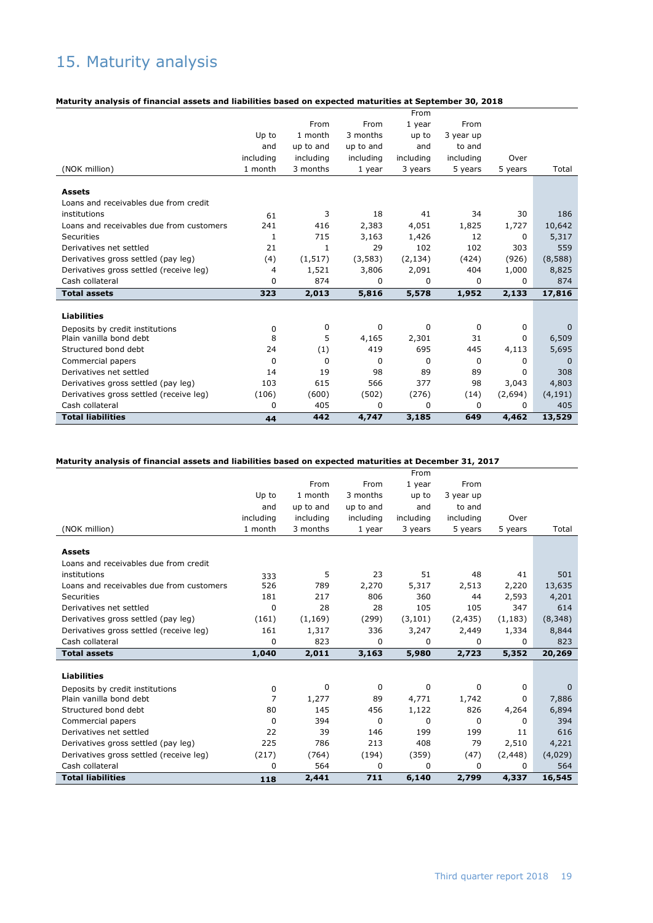# 15. Maturity analysis

### **Maturity analysis of financial assets and liabilities based on expected maturities at September 30, 2018**

|                                          |              |           |             | From      |           |         |              |
|------------------------------------------|--------------|-----------|-------------|-----------|-----------|---------|--------------|
|                                          |              | From      | From        | 1 year    | From      |         |              |
|                                          | Up to        | 1 month   | 3 months    | up to     | 3 year up |         |              |
|                                          | and          | up to and | up to and   | and       | to and    |         |              |
|                                          | including    | including | including   | including | including | Over    |              |
| (NOK million)                            | 1 month      | 3 months  | 1 year      | 3 years   | 5 years   | 5 years | Total        |
|                                          |              |           |             |           |           |         |              |
| <b>Assets</b>                            |              |           |             |           |           |         |              |
| Loans and receivables due from credit    |              |           |             |           |           |         |              |
| institutions                             | 61           | 3         | 18          | 41        | 34        | 30      | 186          |
| Loans and receivables due from customers | 241          | 416       | 2,383       | 4,051     | 1,825     | 1,727   | 10,642       |
| Securities                               | 1            | 715       | 3,163       | 1,426     | 12        | 0       | 5,317        |
| Derivatives net settled                  | 21           | 1         | 29          | 102       | 102       | 303     | 559          |
| Derivatives gross settled (pay leg)      | (4)          | (1, 517)  | (3,583)     | (2, 134)  | (424)     | (926)   | (8,588)      |
| Derivatives gross settled (receive leg)  | 4            | 1,521     | 3,806       | 2,091     | 404       | 1,000   | 8,825        |
| Cash collateral                          | <sup>0</sup> | 874       | 0           | 0         | 0         | 0       | 874          |
| <b>Total assets</b>                      | 323          | 2,013     | 5,816       | 5,578     | 1,952     | 2,133   | 17,816       |
|                                          |              |           |             |           |           |         |              |
| <b>Liabilities</b>                       |              |           |             |           |           |         |              |
| Deposits by credit institutions          | 0            | 0         | 0           | 0         | 0         | 0       | $\mathbf{0}$ |
| Plain vanilla bond debt                  | 8            | 5         | 4,165       | 2,301     | 31        | 0       | 6,509        |
| Structured bond debt                     | 24           | (1)       | 419         | 695       | 445       | 4,113   | 5,695        |
| Commercial papers                        | $\mathbf 0$  | 0         | $\mathbf 0$ | 0         | 0         | 0       | $\mathbf 0$  |
| Derivatives net settled                  | 14           | 19        | 98          | 89        | 89        | 0       | 308          |
| Derivatives gross settled (pay leg)      | 103          | 615       | 566         | 377       | 98        | 3,043   | 4,803        |
| Derivatives gross settled (receive leg)  | (106)        | (600)     | (502)       | (276)     | (14)      | (2,694) | (4, 191)     |
| Cash collateral                          | $\Omega$     | 405       | 0           | 0         | 0         | 0       | 405          |
| <b>Total liabilities</b>                 | 44           | 442       | 4,747       | 3,185     | 649       | 4,462   | 13,529       |

### **Maturity analysis of financial assets and liabilities based on expected maturities at December 31, 2017**

|                                          |           |           |           | From      |           |          |          |
|------------------------------------------|-----------|-----------|-----------|-----------|-----------|----------|----------|
|                                          |           | From      | From      | 1 year    | From      |          |          |
|                                          | Up to     | 1 month   | 3 months  | up to     | 3 year up |          |          |
|                                          | and       | up to and | up to and | and       | to and    |          |          |
|                                          | including | including | including | including | including | Over     |          |
| (NOK million)                            | 1 month   | 3 months  | 1 year    | 3 years   | 5 years   | 5 years  | Total    |
|                                          |           |           |           |           |           |          |          |
| <b>Assets</b>                            |           |           |           |           |           |          |          |
| Loans and receivables due from credit    |           |           |           |           |           |          |          |
| institutions                             | 333       | 5         | 23        | 51        | 48        | 41       | 501      |
| Loans and receivables due from customers | 526       | 789       | 2,270     | 5,317     | 2,513     | 2,220    | 13,635   |
| Securities                               | 181       | 217       | 806       | 360       | 44        | 2,593    | 4,201    |
| Derivatives net settled                  | 0         | 28        | 28        | 105       | 105       | 347      | 614      |
| Derivatives gross settled (pay leg)      | (161)     | (1, 169)  | (299)     | (3, 101)  | (2, 435)  | (1, 183) | (8,348)  |
| Derivatives gross settled (receive leg)  | 161       | 1,317     | 336       | 3,247     | 2,449     | 1,334    | 8,844    |
| Cash collateral                          | 0         | 823       | 0         | 0         | 0         | 0        | 823      |
| <b>Total assets</b>                      | 1,040     | 2,011     | 3,163     | 5,980     | 2,723     | 5,352    | 20,269   |
|                                          |           |           |           |           |           |          |          |
| <b>Liabilities</b>                       |           |           |           |           |           |          |          |
| Deposits by credit institutions          | 0         | 0         | 0         | 0         | 0         | 0        | $\Omega$ |
| Plain vanilla bond debt                  | 7         | 1,277     | 89        | 4,771     | 1,742     | 0        | 7,886    |
| Structured bond debt                     | 80        | 145       | 456       | 1,122     | 826       | 4,264    | 6,894    |
| Commercial papers                        | 0         | 394       | 0         | 0         | 0         | 0        | 394      |
| Derivatives net settled                  | 22        | 39        | 146       | 199       | 199       | 11       | 616      |
| Derivatives gross settled (pay leg)      | 225       | 786       | 213       | 408       | 79        | 2,510    | 4,221    |
| Derivatives gross settled (receive leg)  | (217)     | (764)     | (194)     | (359)     | (47)      | (2, 448) | (4,029)  |
| Cash collateral                          | 0         | 564       | 0         | 0         | $\Omega$  | 0        | 564      |
| <b>Total liabilities</b>                 | 118       | 2,441     | 711       | 6,140     | 2,799     | 4,337    | 16,545   |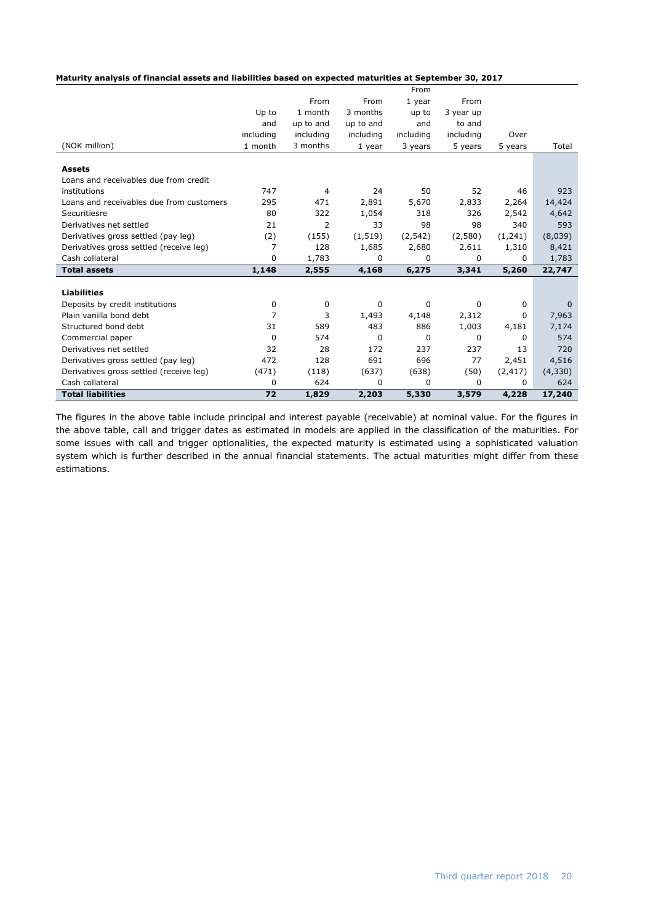| Maturity analysis of financial assets and liabilities based on expected maturities at September 30, 2017 |  |
|----------------------------------------------------------------------------------------------------------|--|
|----------------------------------------------------------------------------------------------------------|--|

|                                          |                |           |           | From      |           |          |             |
|------------------------------------------|----------------|-----------|-----------|-----------|-----------|----------|-------------|
|                                          |                | From      | From      | 1 year    | From      |          |             |
|                                          | Up to          | 1 month   | 3 months  | up to     | 3 year up |          |             |
|                                          | and            | up to and | up to and | and       | to and    |          |             |
|                                          | including      | including | including | including | including | Over     |             |
| (NOK million)                            | 1 month        | 3 months  | 1 year    | 3 years   | 5 years   | 5 years  | Total       |
|                                          |                |           |           |           |           |          |             |
| <b>Assets</b>                            |                |           |           |           |           |          |             |
| Loans and receivables due from credit    |                |           |           |           |           |          |             |
| institutions                             | 747            | 4         | 24        | 50        | 52        | 46       | 923         |
| Loans and receivables due from customers | 295            | 471       | 2,891     | 5,670     | 2,833     | 2,264    | 14,424      |
| Securitiesre                             | 80             | 322       | 1,054     | 318       | 326       | 2,542    | 4,642       |
| Derivatives net settled                  | 21             | 2         | 33        | 98        | 98        | 340      | 593         |
| Derivatives gross settled (pay leg)      | (2)            | (155)     | (1, 519)  | (2, 542)  | (2,580)   | (1,241)  | (8,039)     |
| Derivatives gross settled (receive leg)  | $\overline{7}$ | 128       | 1,685     | 2,680     | 2,611     | 1,310    | 8,421       |
| Cash collateral                          | 0              | 1,783     | 0         | 0         | 0         | 0        | 1,783       |
| <b>Total assets</b>                      | 1,148          | 2,555     | 4,168     | 6,275     | 3,341     | 5,260    | 22,747      |
| <b>Liabilities</b>                       |                |           |           |           |           |          |             |
| Deposits by credit institutions          | 0              | 0         | 0         | 0         | 0         | 0        | $\mathbf 0$ |
| Plain vanilla bond debt                  | $\overline{7}$ | 3         | 1,493     | 4,148     | 2,312     | 0        | 7,963       |
| Structured bond debt                     | 31             | 589       | 483       | 886       | 1,003     | 4,181    | 7,174       |
| Commercial paper                         | 0              | 574       | 0         | 0         | 0         | 0        | 574         |
| Derivatives net settled                  | 32             | 28        | 172       | 237       | 237       | 13       | 720         |
| Derivatives gross settled (pay leg)      | 472            | 128       | 691       | 696       | 77        | 2,451    | 4,516       |
| Derivatives gross settled (receive leg)  | (471)          | (118)     | (637)     | (638)     | (50)      | (2, 417) | (4,330)     |
| Cash collateral                          | 0              | 624       | 0         | 0         | $\Omega$  | $\Omega$ | 624         |
| <b>Total liabilities</b>                 | 72             | 1,829     | 2,203     | 5,330     | 3,579     | 4,228    | 17,240      |
|                                          |                |           |           |           |           |          |             |

The figures in the above table include principal and interest payable (receivable) at nominal value. For the figures in the above table, call and trigger dates as estimated in models are applied in the classification of the maturities. For some issues with call and trigger optionalities, the expected maturity is estimated using a sophisticated valuation system which is further described in the annual financial statements. The actual maturities might differ from these estimations.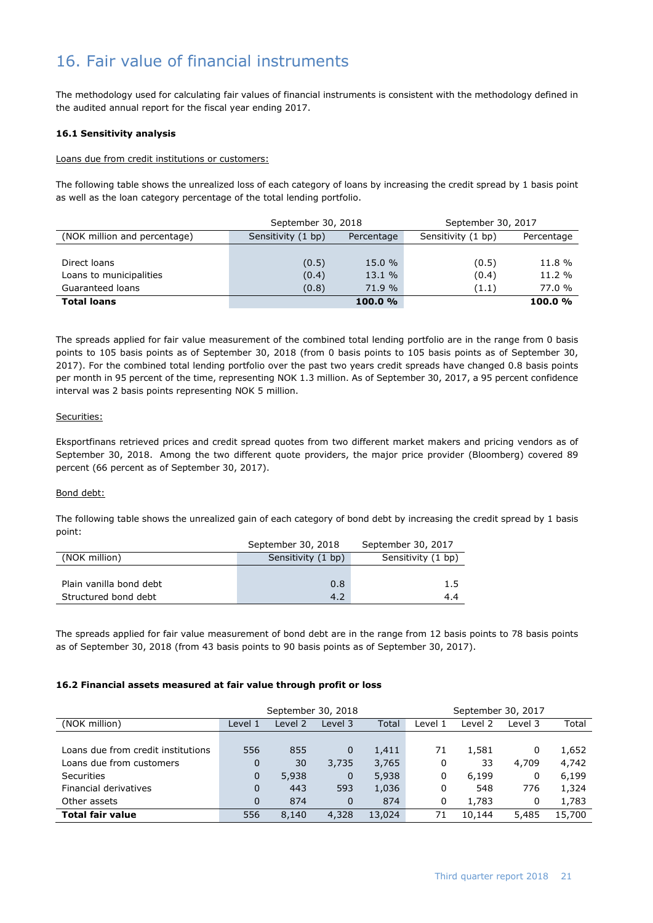# 16. Fair value of financial instruments

The methodology used for calculating fair values of financial instruments is consistent with the methodology defined in the audited annual report for the fiscal year ending 2017.

### **16.1 Sensitivity analysis**

#### Loans due from credit institutions or customers:

The following table shows the unrealized loss of each category of loans by increasing the credit spread by 1 basis point as well as the loan category percentage of the total lending portfolio.

|                              | September 30, 2018 |            | September 30, 2017 |            |
|------------------------------|--------------------|------------|--------------------|------------|
| (NOK million and percentage) | Sensitivity (1 bp) | Percentage | Sensitivity (1 bp) | Percentage |
|                              |                    |            |                    |            |
| Direct loans                 | (0.5)              | 15.0 %     | (0.5)              | 11.8 %     |
| Loans to municipalities      | (0.4)              | 13.1 %     | (0.4)              | $11.2 \%$  |
| Guaranteed loans             | (0.8)              | 71.9 %     | (1.1)              | 77.0 %     |
| <b>Total loans</b>           |                    | 100.0%     |                    | 100.0%     |

The spreads applied for fair value measurement of the combined total lending portfolio are in the range from 0 basis points to 105 basis points as of September 30, 2018 (from 0 basis points to 105 basis points as of September 30, 2017). For the combined total lending portfolio over the past two years credit spreads have changed 0.8 basis points per month in 95 percent of the time, representing NOK 1.3 million. As of September 30, 2017, a 95 percent confidence interval was 2 basis points representing NOK 5 million.

#### Securities:

Eksportfinans retrieved prices and credit spread quotes from two different market makers and pricing vendors as of September 30, 2018. Among the two different quote providers, the major price provider (Bloomberg) covered 89 percent (66 percent as of September 30, 2017).

### Bond debt:

The following table shows the unrealized gain of each category of bond debt by increasing the credit spread by 1 basis point:

|                         | September 30, 2018 | September 30, 2017 |
|-------------------------|--------------------|--------------------|
| (NOK million)           | Sensitivity (1 bp) | Sensitivity (1 bp) |
|                         |                    |                    |
| Plain vanilla bond debt | 0.8                | 1.5                |
| Structured bond debt    | 4.2                | 4.4                |

The spreads applied for fair value measurement of bond debt are in the range from 12 basis points to 78 basis points as of September 30, 2018 (from 43 basis points to 90 basis points as of September 30, 2017).

### **16.2 Financial assets measured at fair value through profit or loss**

|                                    |         | September 30, 2018 |             |        | September 30, 2017 |         |         |        |
|------------------------------------|---------|--------------------|-------------|--------|--------------------|---------|---------|--------|
| (NOK million)                      | Level 1 | Level 2            | Level 3     | Total  | Level 1            | Level 2 | Level 3 | Total  |
|                                    |         |                    |             |        |                    |         |         |        |
| Loans due from credit institutions | 556     | 855                | $\mathbf 0$ | 1,411  | 71                 | 1,581   | 0       | 1,652  |
| Loans due from customers           | 0       | 30                 | 3,735       | 3,765  | 0                  | 33      | 4,709   | 4,742  |
| <b>Securities</b>                  | 0       | 5,938              | 0           | 5,938  | 0                  | 6,199   | 0       | 6,199  |
| Financial derivatives              | 0       | 443                | 593         | 1,036  | 0                  | 548     | 776     | 1,324  |
| Other assets                       | 0       | 874                | 0           | 874    | 0                  | 1,783   | 0       | 1,783  |
| <b>Total fair value</b>            | 556     | 8,140              | 4,328       | 13,024 | 71                 | 10,144  | 5,485   | 15,700 |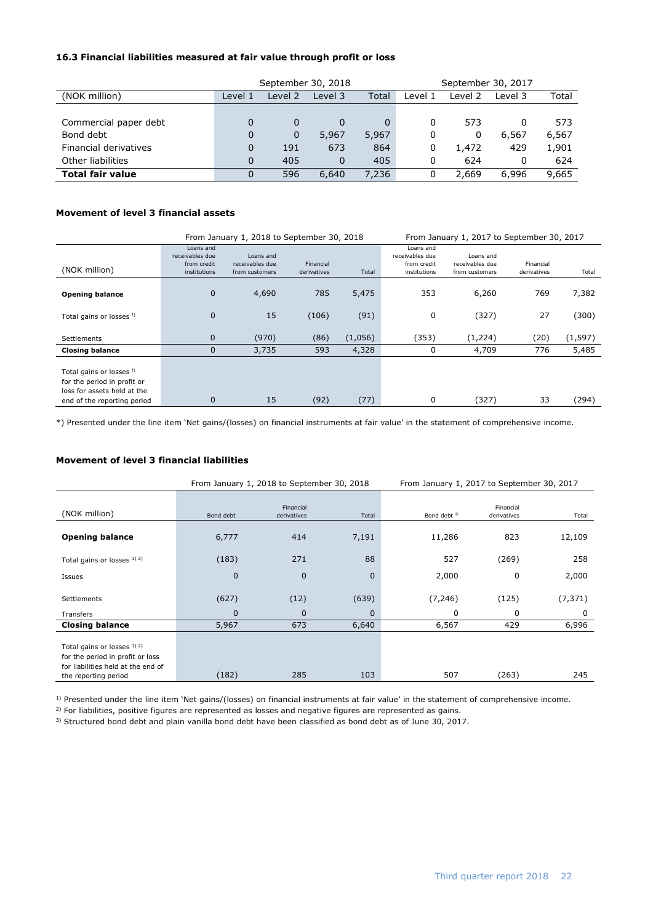### **16.3 Financial liabilities measured at fair value through profit or loss**

|                         |          | September 30, 2018 |          |       | September 30, 2017 |         |         |       |
|-------------------------|----------|--------------------|----------|-------|--------------------|---------|---------|-------|
| (NOK million)           | Level 1  | Level 2            | Level 3  | Total | Level 1            | Level 2 | Level 3 | Total |
|                         |          |                    |          |       |                    |         |         |       |
| Commercial paper debt   | $\Omega$ | 0                  |          | 0     | 0                  | 573     |         | 573   |
| Bond debt               | 0        | 0                  | 5,967    | 5,967 | 0                  | 0       | 6,567   | 6,567 |
| Financial derivatives   | $\Omega$ | 191                | 673      | 864   | 0                  | 1,472   | 429     | 1,901 |
| Other liabilities       | $\Omega$ | 405                | $\Omega$ | 405   | 0                  | 624     |         | 624   |
| <b>Total fair value</b> |          | 596                | 6,640    | 7,236 | 0                  | 2,669   | 6,996   | 9,665 |

### **Movement of level 3 financial assets**

|                                                                                        |                                                             | From January 1, 2018 to September 30, 2018     | From January 1, 2017 to September 30, 2017 |         |                                                             |                                                |                          |          |
|----------------------------------------------------------------------------------------|-------------------------------------------------------------|------------------------------------------------|--------------------------------------------|---------|-------------------------------------------------------------|------------------------------------------------|--------------------------|----------|
| (NOK million)                                                                          | Loans and<br>receivables due<br>from credit<br>institutions | Loans and<br>receivables due<br>from customers | Financial<br>derivatives                   | Total   | Loans and<br>receivables due<br>from credit<br>institutions | Loans and<br>receivables due<br>from customers | Financial<br>derivatives | Total    |
| <b>Opening balance</b>                                                                 | 0                                                           | 4,690                                          | 785                                        | 5,475   | 353                                                         | 6,260                                          | 769                      | 7,382    |
| Total gains or losses !)                                                               | $\mathbf{0}$                                                | 15                                             | (106)                                      | (91)    | 0                                                           | (327)                                          | 27                       | (300)    |
| Settlements                                                                            | $\mathbf{0}$                                                | (970)                                          | (86)                                       | (1,056) | (353)                                                       | (1,224)                                        | (20)                     | (1, 597) |
| <b>Closing balance</b>                                                                 | 0                                                           | 3,735                                          | 593                                        | 4,328   | 0                                                           | 4,709                                          | 776                      | 5,485    |
| Total gains or losses !)<br>for the period in profit or<br>loss for assets held at the |                                                             |                                                |                                            |         |                                                             |                                                |                          |          |
| end of the reporting period                                                            | 0                                                           | 15                                             | (92)                                       | (77)    | 0                                                           | (327)                                          | 33                       | (294)    |

\*) Presented under the line item 'Net gains/(losses) on financial instruments at fair value' in the statement of comprehensive income.

### **Movement of level 3 financial liabilities**

|                                                                                                                               |              | From January 1, 2018 to September 30, 2018 |             | From January 1, 2017 to September 30, 2017 |                          |          |  |
|-------------------------------------------------------------------------------------------------------------------------------|--------------|--------------------------------------------|-------------|--------------------------------------------|--------------------------|----------|--|
| (NOK million)                                                                                                                 | Bond debt    | Financial<br>derivatives                   | Total       | Bond debt <sup>3)</sup>                    | Financial<br>derivatives | Total    |  |
| <b>Opening balance</b>                                                                                                        | 6,777        | 414                                        | 7,191       | 11,286                                     | 823                      | 12,109   |  |
| Total gains or losses 1) 2)                                                                                                   | (183)        | 271                                        | 88          | 527                                        | (269)                    | 258      |  |
| Issues                                                                                                                        | $\mathbf{0}$ | $\mathbf 0$                                | $\mathbf 0$ | 2,000                                      | 0                        | 2,000    |  |
| <b>Settlements</b>                                                                                                            | (627)        | (12)                                       | (639)       | (7, 246)                                   | (125)                    | (7, 371) |  |
| Transfers                                                                                                                     | $\mathbf{0}$ | $\mathbf 0$                                | $\mathbf 0$ | 0                                          | 0                        | 0        |  |
| <b>Closing balance</b>                                                                                                        | 5,967        | 673                                        | 6,640       | 6,567                                      | 429                      | 6,996    |  |
| Total gains or losses 1) 2)<br>for the period in profit or loss<br>for liabilities held at the end of<br>the reporting period | (182)        | 285                                        | 103         | 507                                        | (263)                    | 245      |  |

<sup>1)</sup> Presented under the line item 'Net gains/(losses) on financial instruments at fair value' in the statement of comprehensive income.

<sup>2)</sup> For liabilities, positive figures are represented as losses and negative figures are represented as gains.

<sup>3)</sup> Structured bond debt and plain vanilla bond debt have been classified as bond debt as of June 30, 2017.